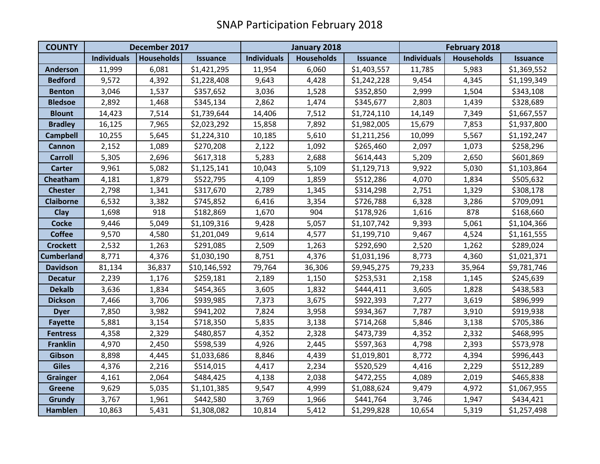| <b>COUNTY</b>     | December 2017      |                   |                 | January 2018       |                   |                 | <b>February 2018</b> |                   |                 |
|-------------------|--------------------|-------------------|-----------------|--------------------|-------------------|-----------------|----------------------|-------------------|-----------------|
|                   | <b>Individuals</b> | <b>Households</b> | <b>Issuance</b> | <b>Individuals</b> | <b>Households</b> | <b>Issuance</b> | <b>Individuals</b>   | <b>Households</b> | <b>Issuance</b> |
| <b>Anderson</b>   | 11,999             | 6,081             | \$1,421,295     | 11,954             | 6,060             | \$1,403,557     | 11,785               | 5,983             | \$1,369,552     |
| <b>Bedford</b>    | 9,572              | 4,392             | \$1,228,408     | 9,643              | 4,428             | \$1,242,228     | 9,454                | 4,345             | \$1,199,349     |
| <b>Benton</b>     | 3,046              | 1,537             | \$357,652       | 3,036              | 1,528             | \$352,850       | 2,999                | 1,504             | \$343,108       |
| <b>Bledsoe</b>    | 2,892              | 1,468             | \$345,134       | 2,862              | 1,474             | \$345,677       | 2,803                | 1,439             | \$328,689       |
| <b>Blount</b>     | 14,423             | 7,514             | \$1,739,644     | 14,406             | 7,512             | \$1,724,110     | 14,149               | 7,349             | \$1,667,557     |
| <b>Bradley</b>    | 16,125             | 7,965             | \$2,023,292     | 15,858             | 7,892             | \$1,982,005     | 15,679               | 7,853             | \$1,937,800     |
| <b>Campbell</b>   | 10,255             | 5,645             | \$1,224,310     | 10,185             | 5,610             | \$1,211,256     | 10,099               | 5,567             | \$1,192,247     |
| <b>Cannon</b>     | 2,152              | 1,089             | \$270,208       | 2,122              | 1,092             | \$265,460       | 2,097                | 1,073             | \$258,296       |
| <b>Carroll</b>    | 5,305              | 2,696             | \$617,318       | 5,283              | 2,688             | \$614,443       | 5,209                | 2,650             | \$601,869       |
| <b>Carter</b>     | 9,961              | 5,082             | \$1,125,141     | 10,043             | 5,109             | \$1,129,713     | 9,922                | 5,030             | \$1,103,864     |
| Cheatham          | 4,181              | 1,879             | \$522,795       | 4,109              | 1,859             | \$512,286       | 4,070                | 1,834             | \$505,632       |
| <b>Chester</b>    | 2,798              | 1,341             | \$317,670       | 2,789              | 1,345             | \$314,298       | 2,751                | 1,329             | \$308,178       |
| <b>Claiborne</b>  | 6,532              | 3,382             | \$745,852       | 6,416              | 3,354             | \$726,788       | 6,328                | 3,286             | \$709,091       |
| <b>Clay</b>       | 1,698              | 918               | \$182,869       | 1,670              | 904               | \$178,926       | 1,616                | 878               | \$168,660       |
| <b>Cocke</b>      | 9,446              | 5,049             | \$1,109,316     | 9,428              | 5,057             | \$1,107,742     | 9,393                | 5,061             | \$1,104,366     |
| <b>Coffee</b>     | 9,570              | 4,580             | \$1,201,049     | 9,614              | 4,577             | \$1,199,710     | 9,467                | 4,524             | \$1,161,555     |
| <b>Crockett</b>   | 2,532              | 1,263             | \$291,085       | 2,509              | 1,263             | \$292,690       | 2,520                | 1,262             | \$289,024       |
| <b>Cumberland</b> | 8,771              | 4,376             | \$1,030,190     | 8,751              | 4,376             | \$1,031,196     | 8,773                | 4,360             | \$1,021,371     |
| <b>Davidson</b>   | 81,134             | 36,837            | \$10,146,592    | 79,764             | 36,306            | \$9,945,275     | 79,233               | 35,964            | \$9,781,746     |
| <b>Decatur</b>    | 2,239              | 1,176             | \$259,181       | 2,189              | 1,150             | \$253,531       | 2,158                | 1,145             | \$245,639       |
| <b>Dekalb</b>     | 3,636              | 1,834             | \$454,365       | 3,605              | 1,832             | \$444,411       | 3,605                | 1,828             | \$438,583       |
| <b>Dickson</b>    | 7,466              | 3,706             | \$939,985       | 7,373              | 3,675             | \$922,393       | 7,277                | 3,619             | \$896,999       |
| <b>Dyer</b>       | 7,850              | 3,982             | \$941,202       | 7,824              | 3,958             | \$934,367       | 7,787                | 3,910             | \$919,938       |
| <b>Fayette</b>    | 5,881              | 3,154             | \$718,350       | 5,835              | 3,138             | \$714,268       | 5,846                | 3,138             | \$705,386       |
| <b>Fentress</b>   | 4,358              | 2,329             | \$480,857       | 4,352              | 2,328             | \$473,739       | 4,352                | 2,332             | \$468,995       |
| <b>Franklin</b>   | 4,970              | 2,450             | \$598,539       | 4,926              | 2,445             | \$597,363       | 4,798                | 2,393             | \$573,978       |
| Gibson            | 8,898              | 4,445             | \$1,033,686     | 8,846              | 4,439             | \$1,019,801     | 8,772                | 4,394             | \$996,443       |
| <b>Giles</b>      | 4,376              | 2,216             | \$514,015       | 4,417              | 2,234             | \$520,529       | 4,416                | 2,229             | \$512,289       |
| <b>Grainger</b>   | 4,161              | 2,064             | \$484,425       | 4,138              | 2,038             | \$472,255       | 4,089                | 2,019             | \$465,838       |
| <b>Greene</b>     | 9,629              | 5,035             | \$1,101,385     | 9,547              | 4,999             | \$1,088,624     | 9,479                | 4,972             | \$1,067,955     |
| Grundy            | 3,767              | 1,961             | \$442,580       | 3,769              | 1,966             | \$441,764       | 3,746                | 1,947             | \$434,421       |
| <b>Hamblen</b>    | 10,863             | 5,431             | \$1,308,082     | 10,814             | 5,412             | \$1,299,828     | 10,654               | 5,319             | \$1,257,498     |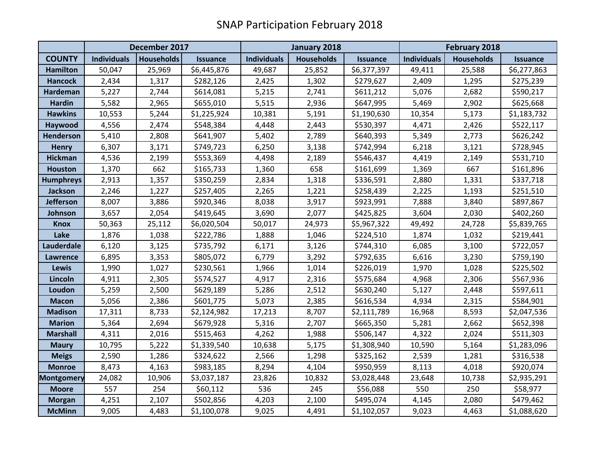|                   | December 2017      |                   |                 | January 2018       |                   |                 | <b>February 2018</b> |                   |                 |
|-------------------|--------------------|-------------------|-----------------|--------------------|-------------------|-----------------|----------------------|-------------------|-----------------|
| <b>COUNTY</b>     | <b>Individuals</b> | <b>Households</b> | <b>Issuance</b> | <b>Individuals</b> | <b>Households</b> | <b>Issuance</b> | <b>Individuals</b>   | <b>Households</b> | <b>Issuance</b> |
| <b>Hamilton</b>   | 50,047             | 25,969            | \$6,445,876     | 49,687             | 25,852            | \$6,377,397     | 49,411               | 25,588            | \$6,277,863     |
| <b>Hancock</b>    | 2,434              | 1,317             | \$282,126       | 2,425              | 1,302             | \$279,627       | 2,409                | 1,295             | \$275,239       |
| Hardeman          | 5,227              | 2,744             | \$614,081       | 5,215              | 2,741             | \$611,212       | 5,076                | 2,682             | \$590,217       |
| <b>Hardin</b>     | 5,582              | 2,965             | \$655,010       | 5,515              | 2,936             | \$647,995       | 5,469                | 2,902             | \$625,668       |
| <b>Hawkins</b>    | 10,553             | 5,244             | \$1,225,924     | 10,381             | 5,191             | \$1,190,630     | 10,354               | 5,173             | \$1,183,732     |
| Haywood           | 4,556              | 2,474             | \$548,384       | 4,448              | 2,443             | \$530,397       | 4,471                | 2,426             | \$522,117       |
| Henderson         | 5,410              | 2,808             | \$641,907       | 5,402              | 2,789             | \$640,393       | 5,349                | 2,773             | \$626,242       |
| <b>Henry</b>      | 6,307              | 3,171             | \$749,723       | 6,250              | 3,138             | \$742,994       | 6,218                | 3,121             | \$728,945       |
| <b>Hickman</b>    | 4,536              | 2,199             | \$553,369       | 4,498              | 2,189             | \$546,437       | 4,419                | 2,149             | \$531,710       |
| <b>Houston</b>    | 1,370              | 662               | \$165,733       | 1,360              | 658               | \$161,699       | 1,369                | 667               | \$161,896       |
| <b>Humphreys</b>  | 2,913              | 1,357             | \$350,259       | 2,834              | 1,318             | \$336,591       | 2,880                | 1,331             | \$337,718       |
| <b>Jackson</b>    | 2,246              | 1,227             | \$257,405       | 2,265              | 1,221             | \$258,439       | 2,225                | 1,193             | \$251,510       |
| Jefferson         | 8,007              | 3,886             | \$920,346       | 8,038              | 3,917             | \$923,991       | 7,888                | 3,840             | \$897,867       |
| Johnson           | 3,657              | 2,054             | \$419,645       | 3,690              | 2,077             | \$425,825       | 3,604                | 2,030             | \$402,260       |
| <b>Knox</b>       | 50,363             | 25,112            | \$6,020,504     | 50,017             | 24,973            | \$5,967,322     | 49,492               | 24,728            | \$5,839,765     |
| Lake              | 1,876              | 1,038             | \$222,786       | 1,888              | 1,046             | \$224,510       | 1,874                | 1,032             | \$219,441       |
| Lauderdale        | 6,120              | 3,125             | \$735,792       | 6,171              | 3,126             | \$744,310       | 6,085                | 3,100             | \$722,057       |
| Lawrence          | 6,895              | 3,353             | \$805,072       | 6,779              | 3,292             | \$792,635       | 6,616                | 3,230             | \$759,190       |
| Lewis             | 1,990              | 1,027             | \$230,561       | 1,966              | 1,014             | \$226,019       | 1,970                | 1,028             | \$225,502       |
| Lincoln           | 4,911              | 2,305             | \$574,527       | 4,917              | 2,316             | \$575,684       | 4,968                | 2,306             | \$567,936       |
| Loudon            | 5,259              | 2,500             | \$629,189       | 5,286              | 2,512             | \$630,240       | 5,127                | 2,448             | \$597,611       |
| <b>Macon</b>      | 5,056              | 2,386             | \$601,775       | 5,073              | 2,385             | \$616,534       | 4,934                | 2,315             | \$584,901       |
| <b>Madison</b>    | 17,311             | 8,733             | \$2,124,982     | 17,213             | 8,707             | \$2,111,789     | 16,968               | 8,593             | \$2,047,536     |
| <b>Marion</b>     | 5,364              | 2,694             | \$679,928       | 5,316              | 2,707             | \$665,350       | 5,281                | 2,662             | \$652,398       |
| <b>Marshall</b>   | 4,311              | 2,016             | \$515,463       | 4,262              | 1,988             | \$506,147       | 4,322                | 2,024             | \$511,303       |
| <b>Maury</b>      | 10,795             | 5,222             | \$1,339,540     | 10,638             | 5,175             | \$1,308,940     | 10,590               | 5,164             | \$1,283,096     |
| <b>Meigs</b>      | 2,590              | 1,286             | \$324,622       | 2,566              | 1,298             | \$325,162       | 2,539                | 1,281             | \$316,538       |
| <b>Monroe</b>     | 8,473              | 4,163             | \$983,185       | 8,294              | 4,104             | \$950,959       | 8,113                | 4,018             | \$920,074       |
| <b>Montgomery</b> | 24,082             | 10,906            | \$3,037,187     | 23,826             | 10,832            | \$3,028,448     | 23,648               | 10,738            | \$2,935,291     |
| <b>Moore</b>      | 557                | 254               | \$60,112        | 536                | 245               | \$56,088        | 550                  | 250               | \$58,977        |
| <b>Morgan</b>     | 4,251              | 2,107             | \$502,856       | 4,203              | 2,100             | \$495,074       | 4,145                | 2,080             | \$479,462       |
| <b>McMinn</b>     | 9,005              | 4,483             | \$1,100,078     | 9,025              | 4,491             | \$1,102,057     | 9,023                | 4,463             | \$1,088,620     |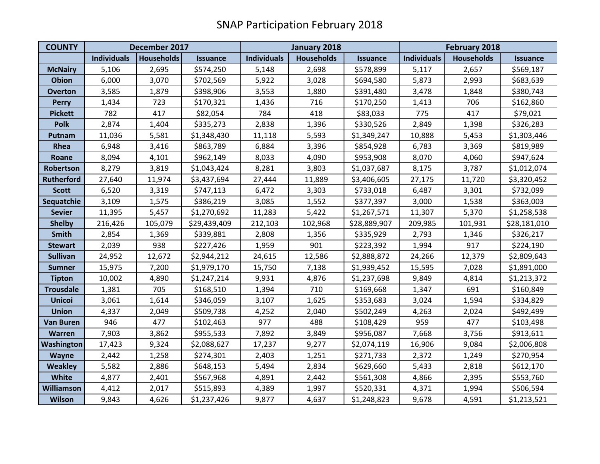| <b>COUNTY</b>     | December 2017      |                   |                 | January 2018       |                   |                 | <b>February 2018</b> |                   |                 |
|-------------------|--------------------|-------------------|-----------------|--------------------|-------------------|-----------------|----------------------|-------------------|-----------------|
|                   | <b>Individuals</b> | <b>Households</b> | <b>Issuance</b> | <b>Individuals</b> | <b>Households</b> | <b>Issuance</b> | <b>Individuals</b>   | <b>Households</b> | <b>Issuance</b> |
| <b>McNairy</b>    | 5,106              | 2,695             | \$574,250       | 5,148              | 2,698             | \$578,899       | 5,117                | 2,657             | \$569,187       |
| <b>Obion</b>      | 6,000              | 3,070             | \$702,569       | 5,922              | 3,028             | \$694,580       | 5,873                | 2,993             | \$683,639       |
| <b>Overton</b>    | 3,585              | 1,879             | \$398,906       | 3,553              | 1,880             | \$391,480       | 3,478                | 1,848             | \$380,743       |
| <b>Perry</b>      | 1,434              | 723               | \$170,321       | 1,436              | 716               | \$170,250       | 1,413                | 706               | \$162,860       |
| <b>Pickett</b>    | 782                | 417               | \$82,054        | 784                | 418               | \$83,033        | 775                  | 417               | \$79,021        |
| <b>Polk</b>       | 2,874              | 1,404             | \$335,273       | 2,838              | 1,396             | \$330,526       | 2,849                | 1,398             | \$326,283       |
| Putnam            | 11,036             | 5,581             | \$1,348,430     | 11,118             | 5,593             | \$1,349,247     | 10,888               | 5,453             | \$1,303,446     |
| Rhea              | 6,948              | 3,416             | \$863,789       | 6,884              | 3,396             | \$854,928       | 6,783                | 3,369             | \$819,989       |
| Roane             | 8,094              | 4,101             | \$962,149       | 8,033              | 4,090             | \$953,908       | 8,070                | 4,060             | \$947,624       |
| Robertson         | 8,279              | 3,819             | \$1,043,424     | 8,281              | 3,803             | \$1,037,687     | 8,175                | 3,787             | \$1,012,074     |
| <b>Rutherford</b> | 27,640             | 11,974            | \$3,437,694     | 27,444             | 11,889            | \$3,406,605     | 27,175               | 11,720            | \$3,320,452     |
| <b>Scott</b>      | 6,520              | 3,319             | \$747,113       | 6,472              | 3,303             | \$733,018       | 6,487                | 3,301             | \$732,099       |
| Sequatchie        | 3,109              | 1,575             | \$386,219       | 3,085              | 1,552             | \$377,397       | 3,000                | 1,538             | \$363,003       |
| <b>Sevier</b>     | 11,395             | 5,457             | \$1,270,692     | 11,283             | 5,422             | \$1,267,571     | 11,307               | 5,370             | \$1,258,538     |
| <b>Shelby</b>     | 216,426            | 105,079           | \$29,439,409    | 212,103            | 102,968           | \$28,889,907    | 209,985              | 101,931           | \$28,181,010    |
| <b>Smith</b>      | 2,854              | 1,369             | \$339,881       | 2,808              | 1,356             | \$335,929       | 2,793                | 1,346             | \$326,217       |
| <b>Stewart</b>    | 2,039              | 938               | \$227,426       | 1,959              | 901               | \$223,392       | 1,994                | 917               | \$224,190       |
| <b>Sullivan</b>   | 24,952             | 12,672            | \$2,944,212     | 24,615             | 12,586            | \$2,888,872     | 24,266               | 12,379            | \$2,809,643     |
| <b>Sumner</b>     | 15,975             | 7,200             | \$1,979,170     | 15,750             | 7,138             | \$1,939,452     | 15,595               | 7,028             | \$1,891,000     |
| <b>Tipton</b>     | 10,002             | 4,890             | \$1,247,214     | 9,931              | 4,876             | \$1,237,698     | 9,849                | 4,814             | \$1,213,372     |
| <b>Trousdale</b>  | 1,381              | 705               | \$168,510       | 1,394              | 710               | \$169,668       | 1,347                | 691               | \$160,849       |
| <b>Unicoi</b>     | 3,061              | 1,614             | \$346,059       | 3,107              | 1,625             | \$353,683       | 3,024                | 1,594             | \$334,829       |
| <b>Union</b>      | 4,337              | 2,049             | \$509,738       | 4,252              | 2,040             | \$502,249       | 4,263                | 2,024             | \$492,499       |
| <b>Van Buren</b>  | 946                | 477               | \$102,463       | 977                | 488               | \$108,429       | 959                  | 477               | \$103,498       |
| Warren            | 7,903              | 3,862             | \$955,533       | 7,892              | 3,849             | \$956,087       | 7,668                | 3,756             | \$913,611       |
| Washington        | 17,423             | 9,324             | \$2,088,627     | 17,237             | 9,277             | \$2,074,119     | 16,906               | 9,084             | \$2,006,808     |
| Wayne             | 2,442              | 1,258             | \$274,301       | 2,403              | 1,251             | \$271,733       | 2,372                | 1,249             | \$270,954       |
| <b>Weakley</b>    | 5,582              | 2,886             | \$648,153       | 5,494              | 2,834             | \$629,660       | 5,433                | 2,818             | \$612,170       |
| White             | 4,877              | 2,401             | \$567,968       | 4,891              | 2,442             | \$561,308       | 4,866                | 2,395             | \$553,760       |
| Williamson        | 4,412              | 2,017             | \$515,893       | 4,389              | 1,997             | \$520,331       | 4,371                | 1,994             | \$506,594       |
| <b>Wilson</b>     | 9,843              | 4,626             | \$1,237,426     | 9,877              | 4,637             | \$1,248,823     | 9,678                | 4,591             | \$1,213,521     |